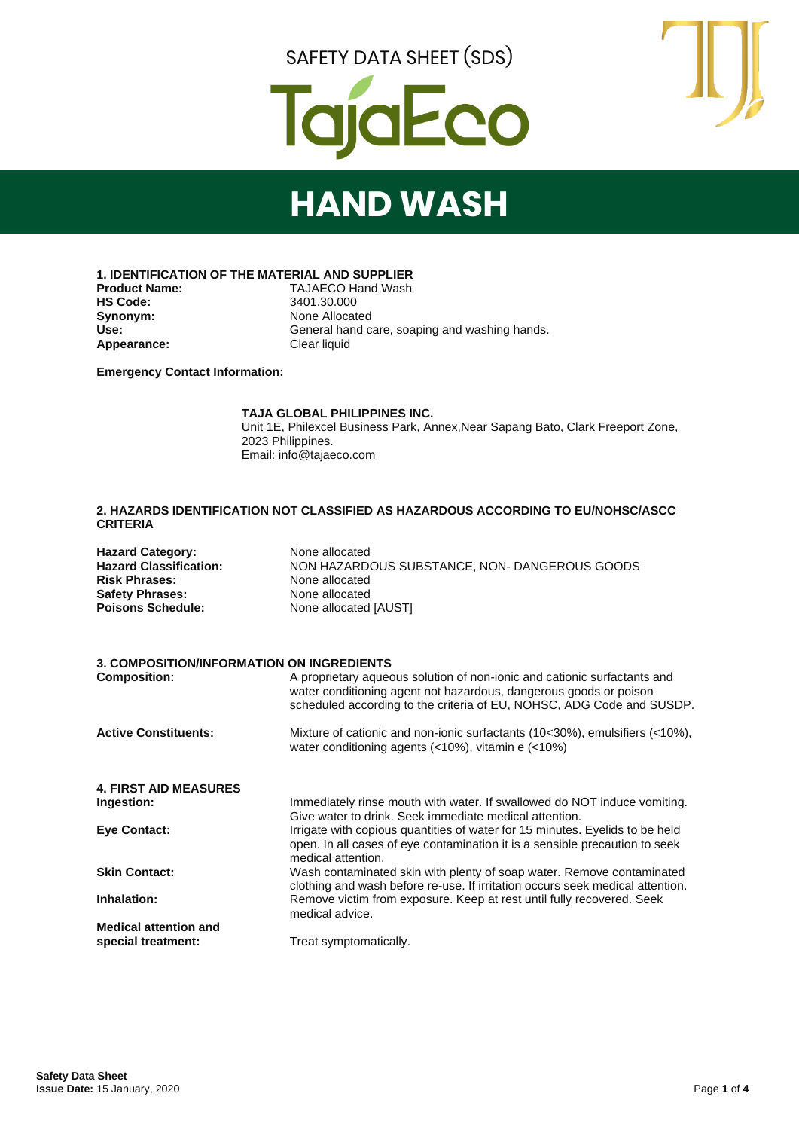



## **HAND WASH**

**1. IDENTIFICATION OF THE MATERIAL AND SUPPLIER**

**Synonym:** None Allocated<br> **Use:** General hand c Appearance:

**Product Name:** TAJAECO Hand Wash<br> **HS Code:** 3401.30.000 **HS Code:** 3401.30.000 General hand care, soaping and washing hands.<br>Clear liquid

**Emergency Contact Information:**

#### **TAJA GLOBAL PHILIPPINES INC.**

Unit 1E, Philexcel Business Park, Annex,Near Sapang Bato, Clark Freeport Zone, 2023 Philippines. Email: info@tajaeco.com

#### **2. HAZARDS IDENTIFICATION NOT CLASSIFIED AS HAZARDOUS ACCORDING TO EU/NOHSC/ASCC CRITERIA**

| <b>Hazard Category:</b>       | None allocated                                |
|-------------------------------|-----------------------------------------------|
| <b>Hazard Classification:</b> | NON HAZARDOUS SUBSTANCE, NON- DANGEROUS GOODS |
| <b>Risk Phrases:</b>          | None allocated                                |
| <b>Safety Phrases:</b>        | None allocated                                |
| <b>Poisons Schedule:</b>      | None allocated [AUST]                         |

#### **3. COMPOSITION/INFORMATION ON INGREDIENTS**

| <b>Composition:</b>          | A proprietary aqueous solution of non-ionic and cationic surfactants and<br>water conditioning agent not hazardous, dangerous goods or poison<br>scheduled according to the criteria of EU, NOHSC, ADG Code and SUSDP. |
|------------------------------|------------------------------------------------------------------------------------------------------------------------------------------------------------------------------------------------------------------------|
| <b>Active Constituents:</b>  | Mixture of cationic and non-ionic surfactants (10<30%), emulsifiers (<10%),<br>water conditioning agents $($ <10%), vitamin e $($ <10%)                                                                                |
| <b>4. FIRST AID MEASURES</b> |                                                                                                                                                                                                                        |
| Ingestion:                   | Immediately rinse mouth with water. If swallowed do NOT induce vomiting.<br>Give water to drink. Seek immediate medical attention.                                                                                     |
| <b>Eve Contact:</b>          | Irrigate with copious quantities of water for 15 minutes. Eyelids to be held<br>open. In all cases of eye contamination it is a sensible precaution to seek<br>medical attention.                                      |
| <b>Skin Contact:</b>         | Wash contaminated skin with plenty of soap water. Remove contaminated<br>clothing and wash before re-use. If irritation occurs seek medical attention.                                                                 |
| Inhalation:                  | Remove victim from exposure. Keep at rest until fully recovered. Seek<br>medical advice.                                                                                                                               |
| <b>Medical attention and</b> |                                                                                                                                                                                                                        |
| special treatment:           | Treat symptomatically.                                                                                                                                                                                                 |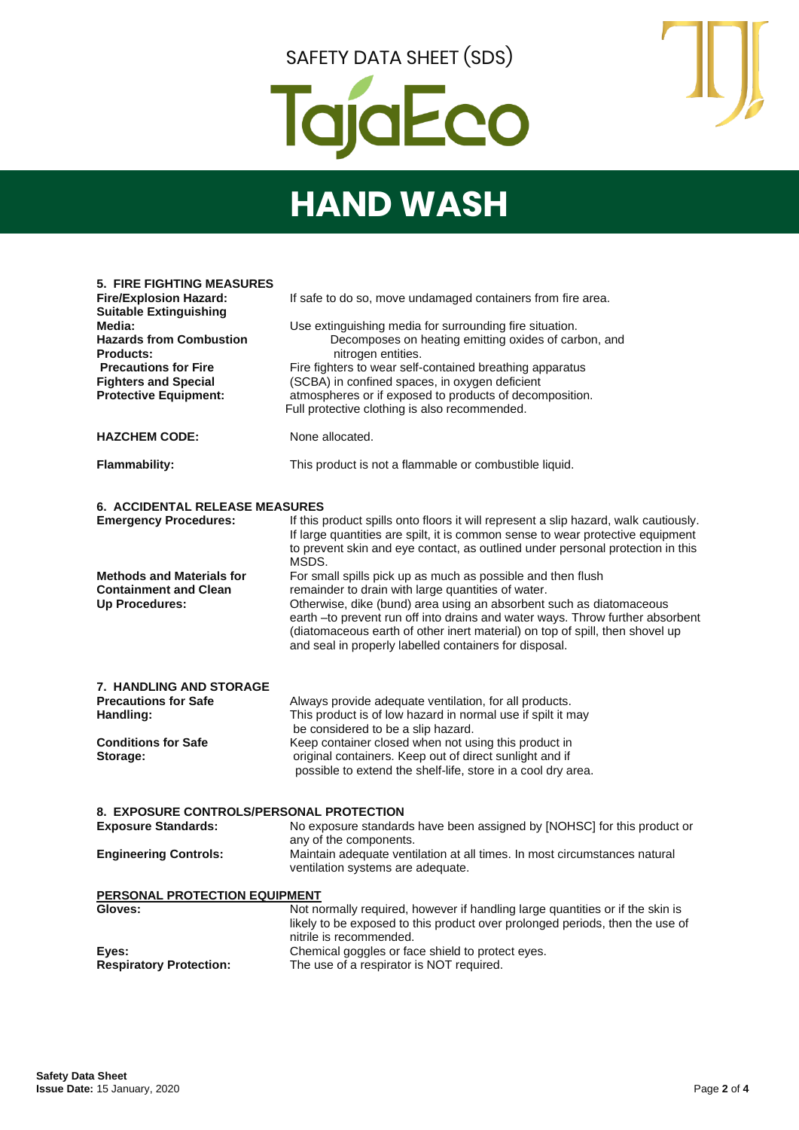

## **HAND WASH**

| <b>5. FIRE FIGHTING MEASURES</b><br><b>Fire/Explosion Hazard:</b><br><b>Suitable Extinguishing</b><br>Media:<br><b>Hazards from Combustion</b><br><b>Products:</b><br><b>Precautions for Fire</b><br><b>Fighters and Special</b><br><b>Protective Equipment:</b> | If safe to do so, move undamaged containers from fire area.<br>Use extinguishing media for surrounding fire situation.<br>Decomposes on heating emitting oxides of carbon, and<br>nitrogen entities.<br>Fire fighters to wear self-contained breathing apparatus<br>(SCBA) in confined spaces, in oxygen deficient<br>atmospheres or if exposed to products of decomposition.<br>Full protective clothing is also recommended. |
|------------------------------------------------------------------------------------------------------------------------------------------------------------------------------------------------------------------------------------------------------------------|--------------------------------------------------------------------------------------------------------------------------------------------------------------------------------------------------------------------------------------------------------------------------------------------------------------------------------------------------------------------------------------------------------------------------------|
| <b>HAZCHEM CODE:</b>                                                                                                                                                                                                                                             | None allocated.                                                                                                                                                                                                                                                                                                                                                                                                                |
| <b>Flammability:</b>                                                                                                                                                                                                                                             | This product is not a flammable or combustible liquid.                                                                                                                                                                                                                                                                                                                                                                         |
| <b>6. ACCIDENTAL RELEASE MEASURES</b><br><b>Emergency Procedures:</b>                                                                                                                                                                                            | If this product spills onto floors it will represent a slip hazard, walk cautiously.<br>If large quantities are spilt, it is common sense to wear protective equipment<br>to prevent skin and eye contact, as outlined under personal protection in this<br>MSDS.                                                                                                                                                              |
| <b>Methods and Materials for</b><br><b>Containment and Clean</b><br>Up Procedures:                                                                                                                                                                               | For small spills pick up as much as possible and then flush<br>remainder to drain with large quantities of water.<br>Otherwise, dike (bund) area using an absorbent such as diatomaceous<br>earth -to prevent run off into drains and water ways. Throw further absorbent<br>(diatomaceous earth of other inert material) on top of spill, then shovel up<br>and seal in properly labelled containers for disposal.            |
| <b>7. HANDLING AND STORAGE</b>                                                                                                                                                                                                                                   |                                                                                                                                                                                                                                                                                                                                                                                                                                |
| <b>Precautions for Safe</b>                                                                                                                                                                                                                                      | Always provide adequate ventilation, for all products.                                                                                                                                                                                                                                                                                                                                                                         |
| Handling:                                                                                                                                                                                                                                                        | This product is of low hazard in normal use if spilt it may<br>be considered to be a slip hazard.                                                                                                                                                                                                                                                                                                                              |
| <b>Conditions for Safe</b>                                                                                                                                                                                                                                       | Keep container closed when not using this product in                                                                                                                                                                                                                                                                                                                                                                           |
| Storage:                                                                                                                                                                                                                                                         | original containers. Keep out of direct sunlight and if<br>possible to extend the shelf-life, store in a cool dry area.                                                                                                                                                                                                                                                                                                        |
| 8. EXPOSURE CONTROLS/PERSONAL PROTECTION                                                                                                                                                                                                                         |                                                                                                                                                                                                                                                                                                                                                                                                                                |
| <b>Exposure Standards:</b>                                                                                                                                                                                                                                       | No exposure standards have been assigned by [NOHSC] for this product or<br>any of the components.                                                                                                                                                                                                                                                                                                                              |
| <b>Engineering Controls:</b>                                                                                                                                                                                                                                     | Maintain adequate ventilation at all times. In most circumstances natural<br>ventilation systems are adequate.                                                                                                                                                                                                                                                                                                                 |
| PERSONAL PROTECTION EQUIPMENT                                                                                                                                                                                                                                    |                                                                                                                                                                                                                                                                                                                                                                                                                                |
| Gloves:                                                                                                                                                                                                                                                          | Not normally required, however if handling large quantities or if the skin is<br>likely to be exposed to this product over prolonged periods, then the use of<br>nitrile is recommended.                                                                                                                                                                                                                                       |
| Eyes:<br><b>Respiratory Protection:</b>                                                                                                                                                                                                                          | Chemical goggles or face shield to protect eyes.<br>The use of a respirator is NOT required.                                                                                                                                                                                                                                                                                                                                   |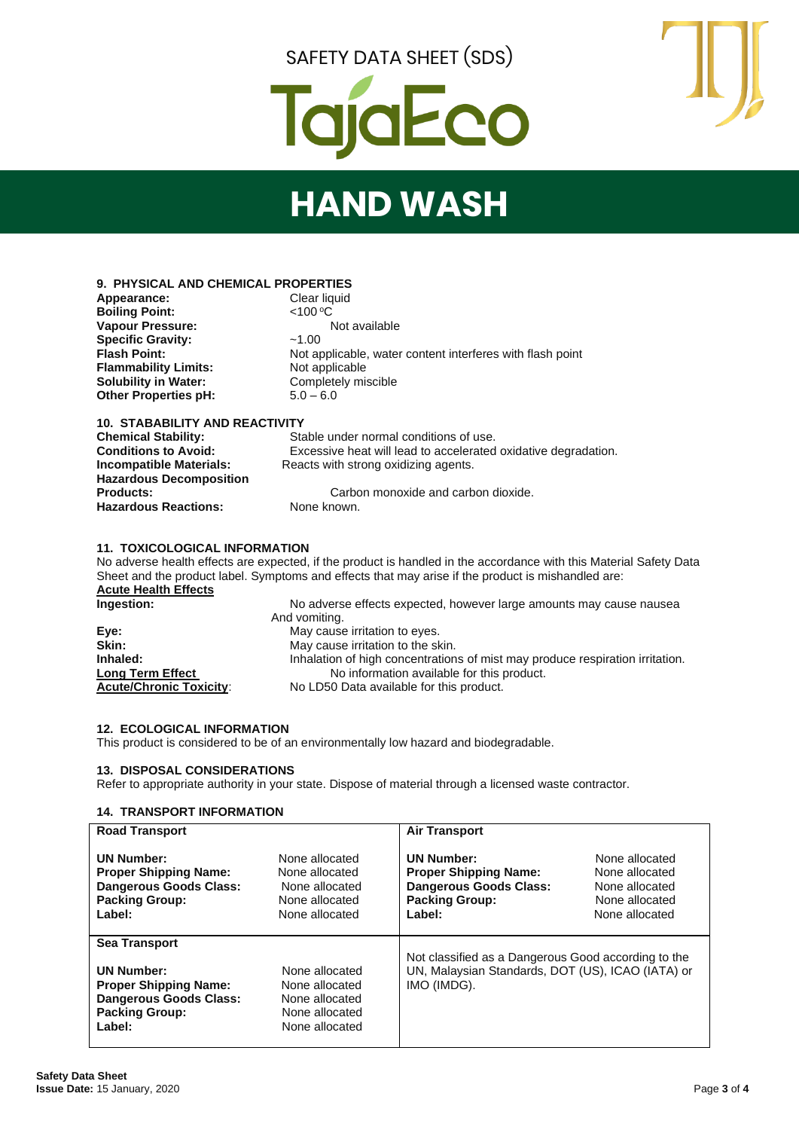

## **HAND WASH**

#### **9. PHYSICAL AND CHEMICAL PROPERTIES Appearance:** Clear liquid Clear liquid Clear liquid Clear liquid Clear liquid Clear liquid Clear liquid Clear liquid Clear liquid Clear liquid Clear liquid Clear liquid Clear liquid Clear liquid Clear liquid Clear liquid

**Boiling Point:** Vapour Pressure: **Not available Specific Gravity:** ~1.00 **Flash Point:** Not applicable, water content interferes with flash point **Flammability Limits:** Not applicable<br> **Solubility in Water:** Completely mi **Completely miscible Other Properties pH:**  $5.0 - 6.0$ 

#### **10. STABABILITY AND REACTIVITY**

| <b>Chemical Stability:</b>     | Stable under normal conditions of use.                         |  |  |  |
|--------------------------------|----------------------------------------------------------------|--|--|--|
| <b>Conditions to Avoid:</b>    | Excessive heat will lead to accelerated oxidative degradation. |  |  |  |
| <b>Incompatible Materials:</b> | Reacts with strong oxidizing agents.                           |  |  |  |
| <b>Hazardous Decomposition</b> |                                                                |  |  |  |
| <b>Products:</b>               | Carbon monoxide and carbon dioxide.                            |  |  |  |
| <b>Hazardous Reactions:</b>    | None known.                                                    |  |  |  |

#### **11. TOXICOLOGICAL INFORMATION**

No adverse health effects are expected, if the product is handled in the accordance with this Material Safety Data Sheet and the product label. Symptoms and effects that may arise if the product is mishandled are: **Acute Health Effects Ingestion:** No adverse effects expected, however large amounts may cause nausea And vomiting.<br> **Eye:** May cause **Eye:** May cause irritation to eyes.<br> **Skin:** May cause irritation to the skin **Skin:** May cause irritation to the skin. Inhaled:<br>
Inhalation of high concentrations of mist may produce respiration irritation.<br>
No information available for this product. **Long Term Effect No information available for this product.**<br>**Acute/Chronic Toxicity:** No LD50 Data available for this product.

No LD50 Data available for this product.

**12. ECOLOGICAL INFORMATION** This product is considered to be of an environmentally low hazard and biodegradable.

#### **13. DISPOSAL CONSIDERATIONS**

Refer to appropriate authority in your state. Dispose of material through a licensed waste contractor.

#### **14. TRANSPORT INFORMATION**

| <b>Road Transport</b>                                                                                                                         |                                                                                        | <b>Air Transport</b>                                                                                                    |                                                                                        |
|-----------------------------------------------------------------------------------------------------------------------------------------------|----------------------------------------------------------------------------------------|-------------------------------------------------------------------------------------------------------------------------|----------------------------------------------------------------------------------------|
| <b>UN Number:</b><br><b>Proper Shipping Name:</b><br><b>Dangerous Goods Class:</b><br><b>Packing Group:</b><br>Label:                         | None allocated<br>None allocated<br>None allocated<br>None allocated<br>None allocated | <b>UN Number:</b><br><b>Proper Shipping Name:</b><br><b>Dangerous Goods Class:</b><br><b>Packing Group:</b><br>Label:   | None allocated<br>None allocated<br>None allocated<br>None allocated<br>None allocated |
| <b>Sea Transport</b><br><b>UN Number:</b><br><b>Proper Shipping Name:</b><br><b>Dangerous Goods Class:</b><br><b>Packing Group:</b><br>Label: | None allocated<br>None allocated<br>None allocated<br>None allocated<br>None allocated | Not classified as a Dangerous Good according to the<br>UN, Malaysian Standards, DOT (US), ICAO (IATA) or<br>IMO (IMDG). |                                                                                        |